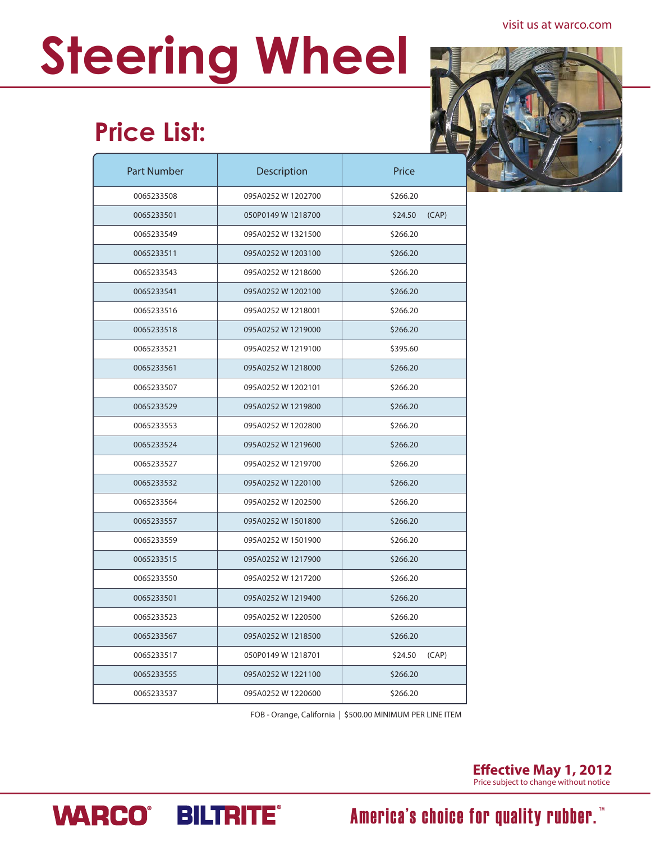#### visit us at warco.com

# **Steering Wheel**

## **Price List:**

| <b>Part Number</b> | Description        | Price            |
|--------------------|--------------------|------------------|
| 0065233508         | 095A0252 W 1202700 | \$266.20         |
| 0065233501         | 050P0149 W 1218700 | \$24.50<br>(CAP) |
| 0065233549         | 095A0252 W 1321500 | \$266.20         |
| 0065233511         | 095A0252 W 1203100 | \$266.20         |
| 0065233543         | 095A0252 W 1218600 | \$266.20         |
| 0065233541         | 095A0252 W 1202100 | \$266.20         |
| 0065233516         | 095A0252 W 1218001 | \$266.20         |
| 0065233518         | 095A0252 W 1219000 | \$266.20         |
| 0065233521         | 095A0252 W 1219100 | \$395.60         |
| 0065233561         | 095A0252 W 1218000 | \$266.20         |
| 0065233507         | 095A0252 W 1202101 | \$266.20         |
| 0065233529         | 095A0252 W 1219800 | \$266.20         |
| 0065233553         | 095A0252 W 1202800 | \$266.20         |
| 0065233524         | 095A0252 W 1219600 | \$266.20         |
| 0065233527         | 095A0252 W 1219700 | \$266.20         |
| 0065233532         | 095A0252 W 1220100 | \$266.20         |
| 0065233564         | 095A0252 W 1202500 | \$266.20         |
| 0065233557         | 095A0252 W 1501800 | \$266.20         |
| 0065233559         | 095A0252 W 1501900 | \$266.20         |
| 0065233515         | 095A0252 W 1217900 | \$266.20         |
| 0065233550         | 095A0252 W 1217200 | \$266.20         |
| 0065233501         | 095A0252 W 1219400 | \$266.20         |
| 0065233523         | 095A0252 W 1220500 | \$266.20         |
| 0065233567         | 095A0252 W 1218500 | \$266.20         |
| 0065233517         | 050P0149 W 1218701 | (CAP)<br>\$24.50 |
| 0065233555         | 095A0252 W 1221100 | \$266.20         |
| 0065233537         | 095A0252 W 1220600 | \$266.20         |

FOB - Orange, California | \$500.00 MINIMUM PER LINE ITEM



# **WARCO® BILTRITE®**

#### America's choice for quality rubber.<sup>"</sup>